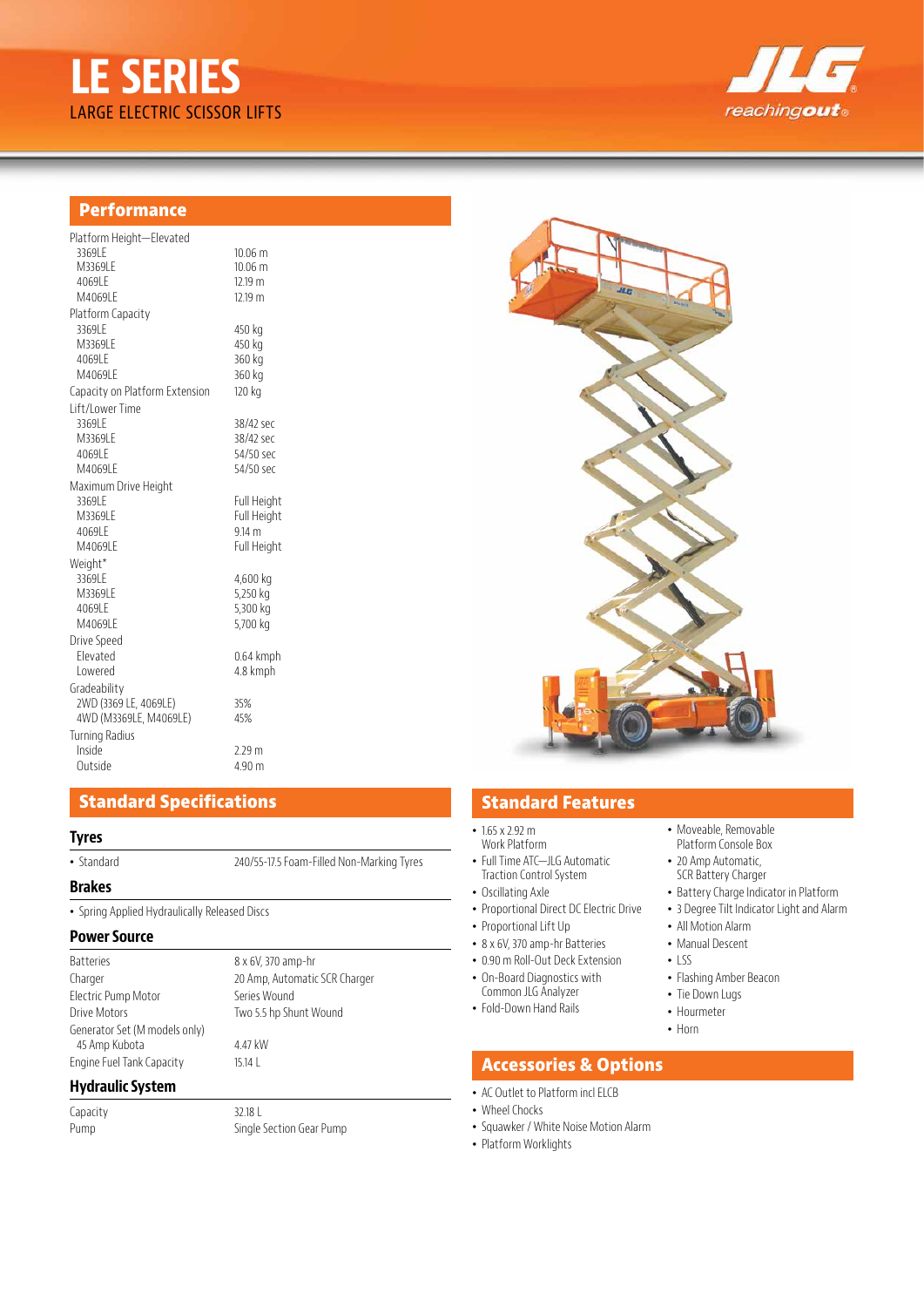



# **Performance**

| Platform Height-Elevated       |                    |
|--------------------------------|--------------------|
| 3369LE                         | $10.06 \text{ m}$  |
| M3369LE                        | $10.06 \text{ m}$  |
| 4069LE                         | 12.19 m            |
| M4069IF                        | 12.19 m            |
| Platform Capacity              |                    |
| 3369LE                         | 450 kg             |
| M3369LE                        | 450 kg             |
| 4069LE                         | 360 kg             |
| M4069IF                        | 360 kg             |
| Capacity on Platform Extension | 120 kg             |
| Lift/Lower Time                |                    |
| 3369LE                         | 38/42 sec          |
| M3369LE                        | 38/42 sec          |
| 4069LE                         | 54/50 sec          |
| M4069IF                        | 54/50 sec          |
| Maximum Drive Height           |                    |
| 3369IF                         | Full Height        |
| M33691 F                       | <b>Full Height</b> |
| 4069LE                         | $9.14 \text{ m}$   |
| M4069LE                        | Full Height        |
| Weight*                        |                    |
| 3369LE                         | 4,600 kg           |
| M3369LE                        | 5,250 kg           |
| 4069LE                         | 5,300 kg           |
| M4069LE                        | 5,700 kg           |
| Drive Speed                    |                    |
| Flevated                       | 0.64 kmph          |
| Lowered                        | 4.8 kmph           |
| Gradeability                   |                    |
| 2WD (3369 LE, 4069LE)          | 35%                |
| 4WD (M3369LE, M4069LE)         | 45%                |
| <b>Turning Radius</b>          |                    |
| Inside                         | 2.29 <sub>m</sub>  |
| Outside                        | 4.90 m             |

# **Standard Specifications**

## **Tyres**

• Standard 240/55-17.5 Foam-Filled Non-Marking Tyres

## **Brakes**

• Spring Applied Hydraulically Released Discs

### **Power Source**

| <b>Batteries</b>              |
|-------------------------------|
| Charger                       |
| Electric Pump Motor           |
| Drive Motors                  |
| Generator Set (M models only) |
| 45 Amp Kubota                 |
| Engine Fuel Tank Capacity     |

### **Hydraulic System**

Capacity 32.18 L

Pump **Single Section Gear Pump** 

8 x 6V, 370 amp-hr

Series Wound Two 5.5 hp Shunt Wound

4.47 kW 15.14 L

20 Amp, Automatic SCR Charger



# **Standard Features**

- $\cdot$  1.65 x 2.92 m Work Platform
- Full Time ATC—JLG Automatic Traction Control System
- Oscillating Axle
- Proportional Direct DC Electric Drive
- Proportional Lift Up
- 8 x 6V, 370 amp-hr Batteries
- 0.90 m Roll-Out Deck Extension
- On-Board Diagnostics with
- Common JLG Analyzer
- Fold-Down Hand Rails
- Moveable, Removable Platform Console Box
- 20 Amp Automatic, SCR Battery Charger
- Battery Charge Indicator in Platform
- 3 Degree Tilt Indicator Light and Alarm
- All Motion Alarm
- Manual Descent
- $\cdot$  LSS
- Flashing Amber Beacon
- Tie Down Lugs
- Hourmeter
- Horn

# **Accessories & Options**

- AC Outlet to Platform incl ELCB
- Wheel Chocks
- Squawker / White Noise Motion Alarm
- Platform Worklights
-